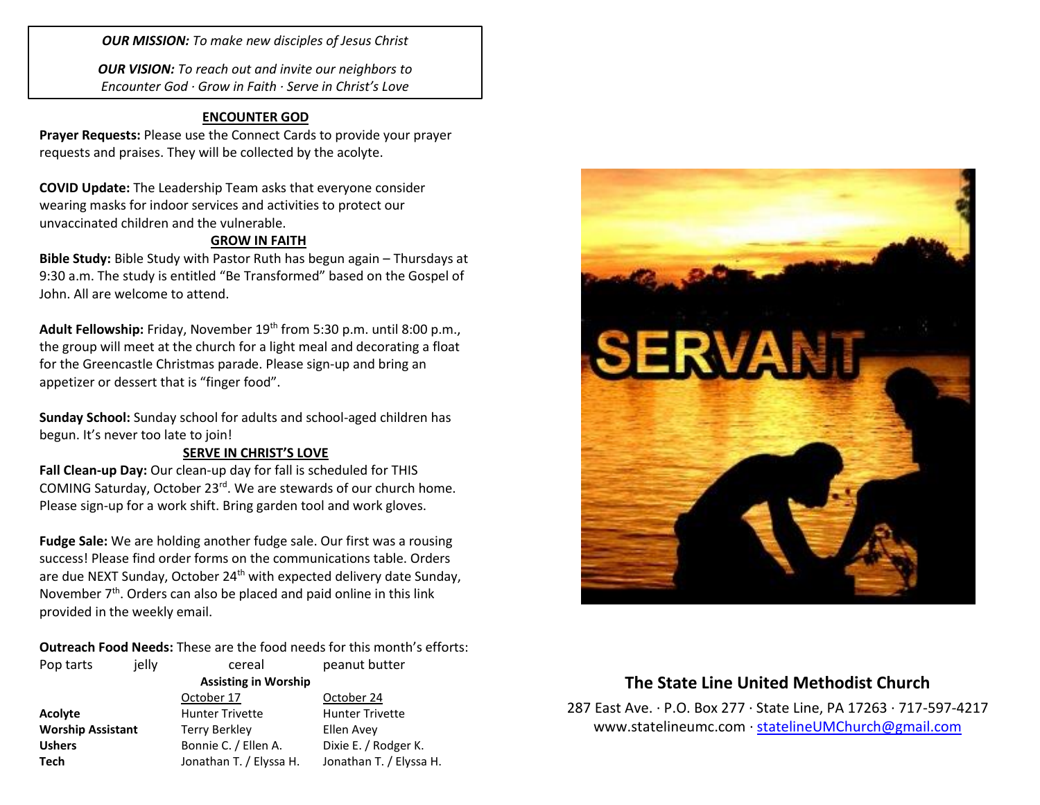*OUR MISSION: To make new disciples of Jesus Christ*

*OUR VISION: To reach out and invite our neighbors to Encounter God · Grow in Faith · Serve in Christ's Love*

## **ENCOUNTER GOD**

**Prayer Requests:** Please use the Connect Cards to provide your prayer requests and praises. They will be collected by the acolyte.

**COVID Update:** The Leadership Team asks that everyone consider wearing masks for indoor services and activities to protect our unvaccinated children and the vulnerable.

### **GROW IN FAITH**

**Bible Study:** Bible Study with Pastor Ruth has begun again – Thursdays at 9:30 a.m. The study is entitled "Be Transformed" based on the Gospel of John. All are welcome to attend.

Adult Fellowship: Friday, November 19<sup>th</sup> from 5:30 p.m. until 8:00 p.m., the group will meet at the church for a light meal and decorating a float for the Greencastle Christmas parade. Please sign-up and bring an appetizer or dessert that is "finger food".

**Sunday School:** Sunday school for adults and school-aged children has begun. It's never too late to join!

#### **SERVE IN CHRIST'S LOVE**

**Fall Clean-up Day:** Our clean-up day for fall is scheduled for THIS COMING Saturday, October 23rd. We are stewards of our church home. Please sign-up for a work shift. Bring garden tool and work gloves.

**Fudge Sale:** We are holding another fudge sale. Our first was a rousing success! Please find order forms on the communications table. Orders are due NEXT Sunday, October 24<sup>th</sup> with expected delivery date Sunday, November  $7<sup>th</sup>$ . Orders can also be placed and paid online in this link provided in the weekly email.

**Outreach Food Needs:** These are the food needs for this month's efforts:

| Pop tarts                | jelly | cereal                      | peanut butter           |  |
|--------------------------|-------|-----------------------------|-------------------------|--|
|                          |       | <b>Assisting in Worship</b> |                         |  |
|                          |       | October 17                  | October 24              |  |
| Acolyte                  |       | <b>Hunter Trivette</b>      | <b>Hunter Trivette</b>  |  |
| <b>Worship Assistant</b> |       | <b>Terry Berkley</b>        | Ellen Avev              |  |
| <b>Ushers</b>            |       | Bonnie C. / Ellen A.        | Dixie E. / Rodger K.    |  |
| <b>Tech</b>              |       | Jonathan T. / Elyssa H.     | Jonathan T. / Elyssa H. |  |



# **The State Line United Methodist Church**

287 East Ave. · P.O. Box 277 · State Line, PA 17263 · 717-597-4217 [www.statelineumc.com](http://www.statelineumc.com/) · [statelineUMChurch@gmail.com](mailto:statelineUMChurch@gmail.com)